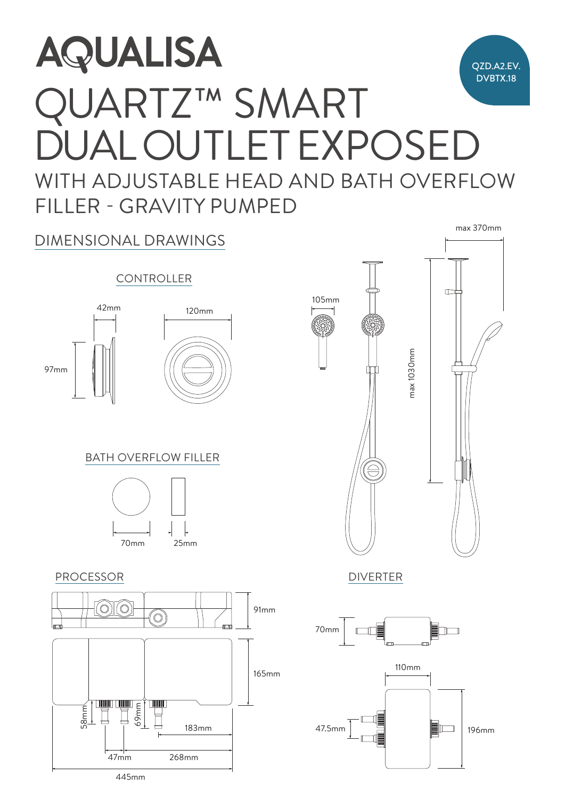## $\overline{\phantom{a}}$  $A$ **AQUALISA** QZD.A2.EV. DVBTX.18 QUARTZ™ SMART DUAL OUTLET EXPOSED WITH ADJUSTABLE HEAD AND BATH OVERFLOW  $25.0001$ FILLER - GRAVITY PUMPED 70mm



445mm